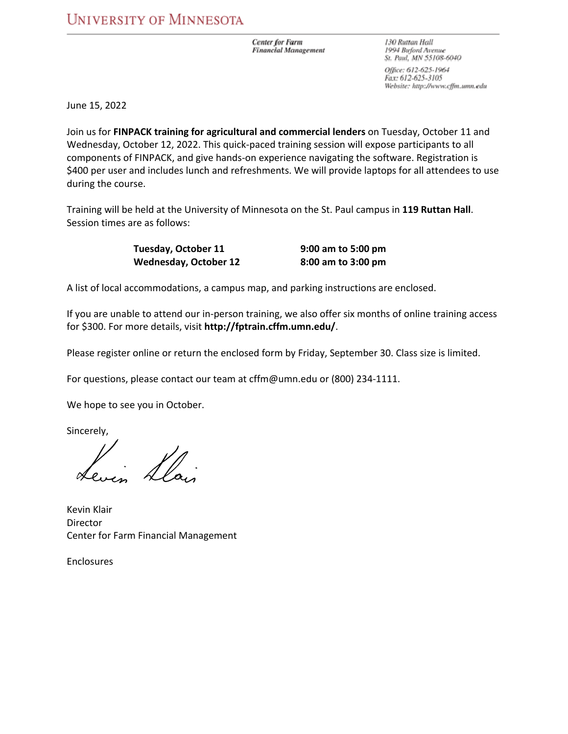**Center for Farm Financial Management**  130 Ruttan Hall 1994 Buford Avenue St. Paul, MN 55108-6040

Office: 612-625-1964 Fax: 612-625-3105 Website: http://www.cffm.umn.edu

June 15, 2022

Join us for **FINPACK training for agricultural and commercial lenders** on Tuesday, October 11 and Wednesday, October 12, 2022. This quick‐paced training session will expose participants to all components of FINPACK, and give hands‐on experience navigating the software. Registration is \$400 per user and includes lunch and refreshments. We will provide laptops for all attendees to use during the course.

Training will be held at the University of Minnesota on the St. Paul campus in **119 Ruttan Hall**. Session times are as follows:

| Tuesday, October 11          | 9:00 am to 5:00 pm |
|------------------------------|--------------------|
| <b>Wednesday, October 12</b> | 8:00 am to 3:00 pm |

A list of local accommodations, a campus map, and parking instructions are enclosed.

If you are unable to attend our in‐person training, we also offer six months of online training access for \$300. For more details, visit **http://fptrain.cffm.umn.edu/**.

Please register online or return the enclosed form by Friday, September 30. Class size is limited.

For questions, please contact our team at cffm@umn.edu or (800) 234‐1111.

We hope to see you in October.

Sincerely,

Kevin Klair **Director Contractor Contractor Contractor** Center for Farm Financial Management

Enclosures